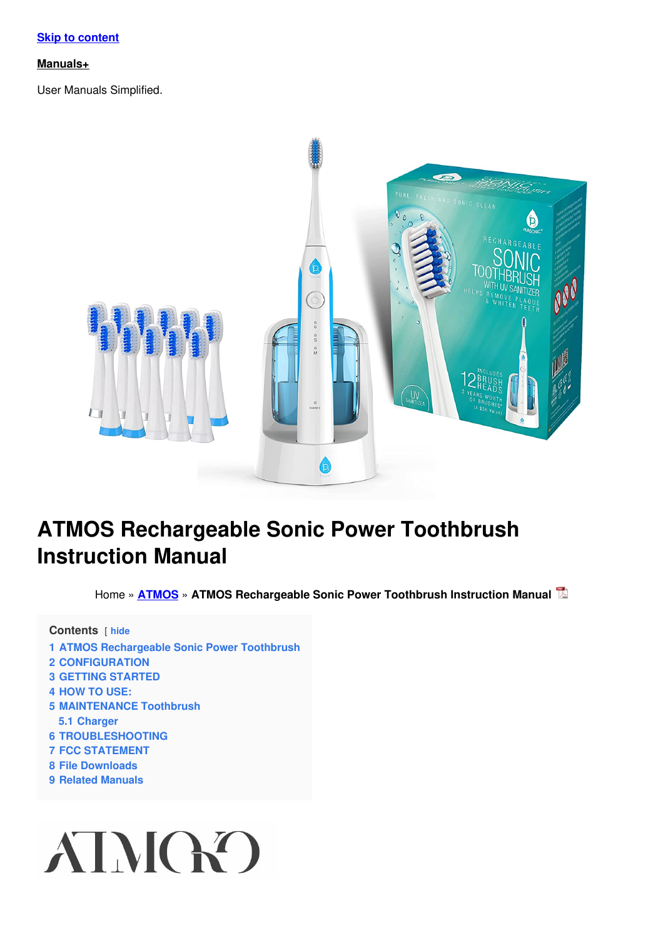#### **Skip to [content](#page-3-0)**

#### **[Manuals+](https://manuals.plus/)**

User Manuals Simplified.



# **ATMOS Rechargeable Sonic Power Toothbrush Instruction Manual**

Home » **[ATMOS](https://manuals.plus/category/atmos)** » **ATMOS Rechargeable Sonic Power Toothbrush Instruction Manual**

**Contents** [ **hide**

- **1 ATMOS [Rechargeable](#page-1-0) Sonic Power Toothbrush**
- **2 [CONFIGURATION](#page-1-1)**
- **3 GETTING [STARTED](#page-3-1)**
- **4 [HOW](#page-3-2) TO USE:**
- **5 [MAINTENANCE](#page-5-0) Toothbrush**
	- **5.1 [Charger](#page-5-1)**
- **6 [TROUBLESHOOTING](#page-5-2)**
- **7 FCC [STATEMENT](#page-5-3)**
- **8 File [Downloads](#page-6-0)**
- **9 Related [Manuals](#page-6-1)**

# AIMGO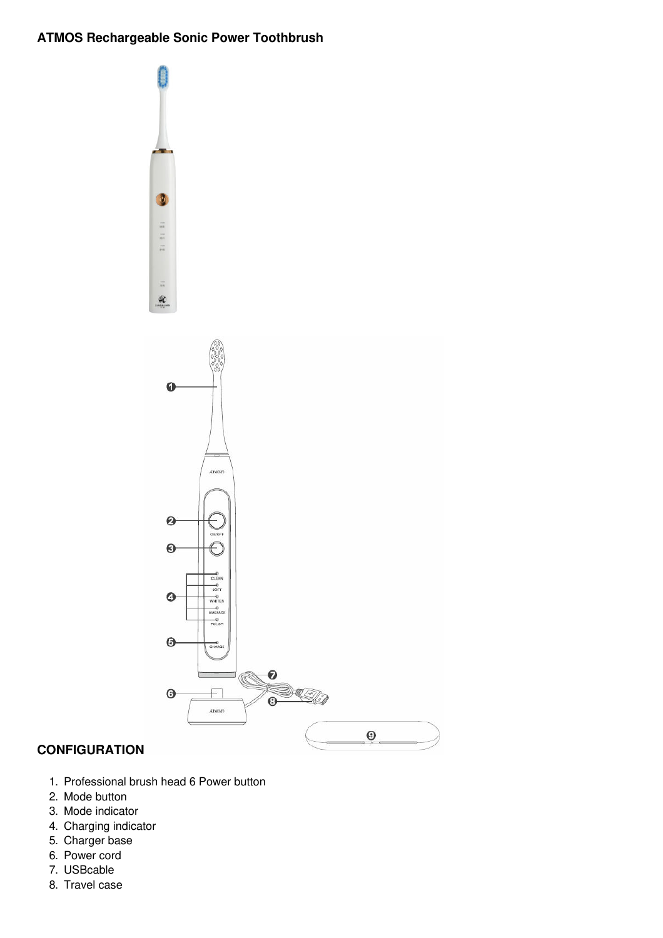# <span id="page-1-0"></span>**ATMOS Rechargeable Sonic Power Toothbrush**



# <span id="page-1-1"></span>**CONFIGURATION**

- 1. Professional brush head 6 Power button
- 2. Mode button
- 3. Mode indicator
- 4. Charging indicator
- 5. Charger base
- 6. Power cord
- 7. USBcable
- 8. Travel case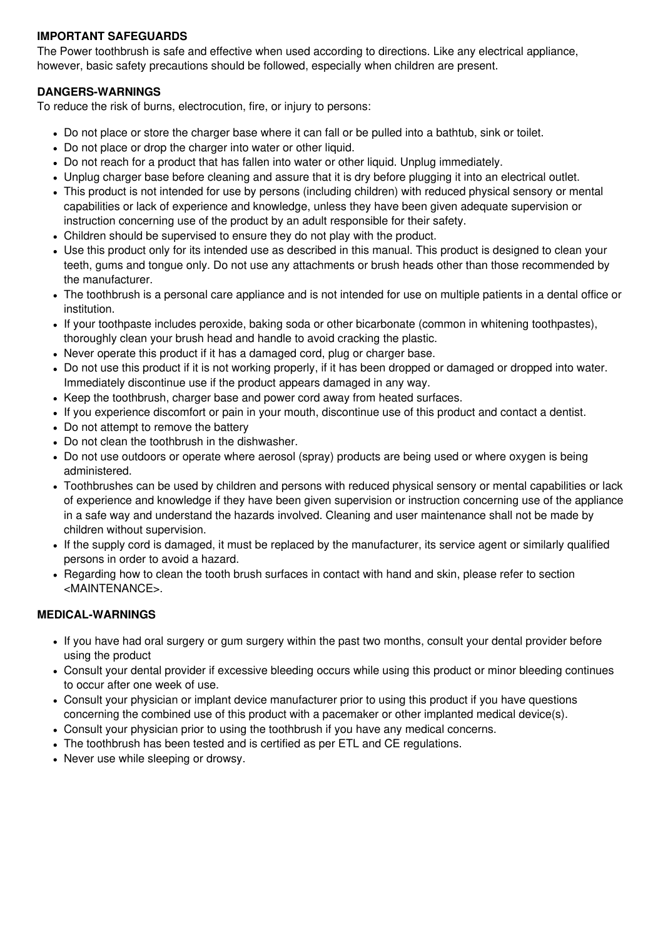# **IMPORTANT SAFEGUARDS**

The Power toothbrush is safe and effective when used according to directions. Like any electrical appliance, however, basic safety precautions should be followed, especially when children are present.

# **DANGERS-WARNINGS**

To reduce the risk of burns, electrocution, fire, or injury to persons:

- Do not place or store the charger base where it can fall or be pulled into a bathtub, sink or toilet.
- Do not place or drop the charger into water or other liquid.
- Do not reach for a product that has fallen into water or other liquid. Unplug immediately.
- Unplug charger base before cleaning and assure that it is dry before plugging it into an electrical outlet.
- This product is not intended for use by persons (including children) with reduced physical sensory or mental capabilities or lack of experience and knowledge, unless they have been given adequate supervision or instruction concerning use of the product by an adult responsible for their safety.
- Children should be supervised to ensure they do not play with the product.
- Use this product only for its intended use as described in this manual. This product is designed to clean your teeth, gums and tongue only. Do not use any attachments or brush heads other than those recommended by the manufacturer.
- The toothbrush is a personal care appliance and is not intended for use on multiple patients in a dental office or institution.
- If your toothpaste includes peroxide, baking soda or other bicarbonate (common in whitening toothpastes), thoroughly clean your brush head and handle to avoid cracking the plastic.
- Never operate this product if it has a damaged cord, plug or charger base.
- Do not use this product if it is not working properly, if it has been dropped or damaged or dropped into water. Immediately discontinue use if the product appears damaged in any way.
- Keep the toothbrush, charger base and power cord away from heated surfaces.
- If you experience discomfort or pain in your mouth, discontinue use of this product and contact a dentist.
- Do not attempt to remove the battery
- Do not clean the toothbrush in the dishwasher.
- Do not use outdoors or operate where aerosol (spray) products are being used or where oxygen is being administered.
- Toothbrushes can be used by children and persons with reduced physical sensory or mental capabilities or lack of experience and knowledge if they have been given supervision or instruction concerning use of the appliance in a safe way and understand the hazards involved. Cleaning and user maintenance shall not be made by children without supervision.
- If the supply cord is damaged, it must be replaced by the manufacturer, its service agent or similarly qualified persons in order to avoid a hazard.
- Regarding how to clean the tooth brush surfaces in contact with hand and skin, please refer to section <MAINTENANCE>.

# **MEDICAL-WARNINGS**

- If you have had oral surgery or gum surgery within the past two months, consult your dental provider before using the product
- Consult your dental provider if excessive bleeding occurs while using this product or minor bleeding continues to occur after one week of use.
- Consult your physician or implant device manufacturer prior to using this product if you have questions concerning the combined use of this product with a pacemaker or other implanted medical device(s).
- Consult your physician prior to using the toothbrush if you have any medical concerns.
- The toothbrush has been tested and is certified as per ETL and CE regulations.
- Never use while sleeping or drowsy.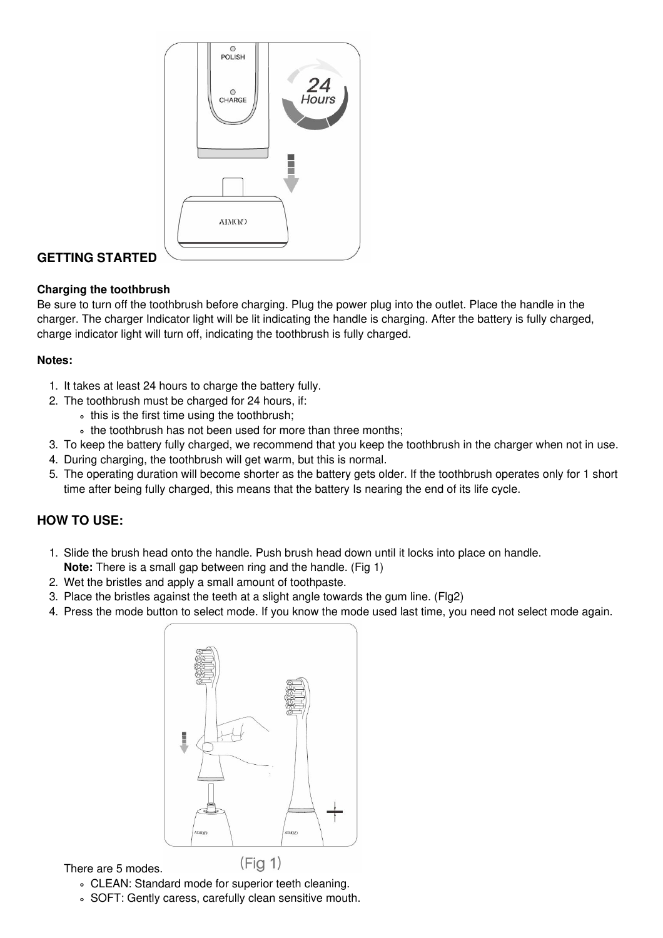<span id="page-3-0"></span>

# <span id="page-3-1"></span>**GETTING STARTED**

# **Charging the toothbrush**

Be sure to turn off the toothbrush before charging. Plug the power plug into the outlet. Place the handle in the charger. The charger Indicator light will be lit indicating the handle is charging. After the battery is fully charged, charge indicator light will turn off, indicating the toothbrush is fully charged.

# **Notes:**

- 1. It takes at least 24 hours to charge the battery fully.
- 2. The toothbrush must be charged for 24 hours, if:
	- this is the first time using the toothbrush:
	- the toothbrush has not been used for more than three months;
- 3. To keep the battery fully charged, we recommend that you keep the toothbrush in the charger when not in use.
- 4. During charging, the toothbrush will get warm, but this is normal.
- 5. The operating duration will become shorter as the battery gets older. If the toothbrush operates only for 1 short time after being fully charged, this means that the battery Is nearing the end of its life cycle.

# <span id="page-3-2"></span>**HOW TO USE:**

- 1. Slide the brush head onto the handle. Push brush head down until it locks into place on handle.
- **Note:** There is a small gap between ring and the handle. (Fig 1)
- 2. Wet the bristles and apply a small amount of toothpaste.
- 3. Place the bristles against the teeth at a slight angle towards the gum line. (Flg2)
- 4. Press the mode button to select mode. If you know the mode used last time, you need not select mode again.



There are 5 modes.

- CLEAN: Standard mode for superior teeth cleaning.
- SOFT: Gently caress, carefully clean sensitive mouth.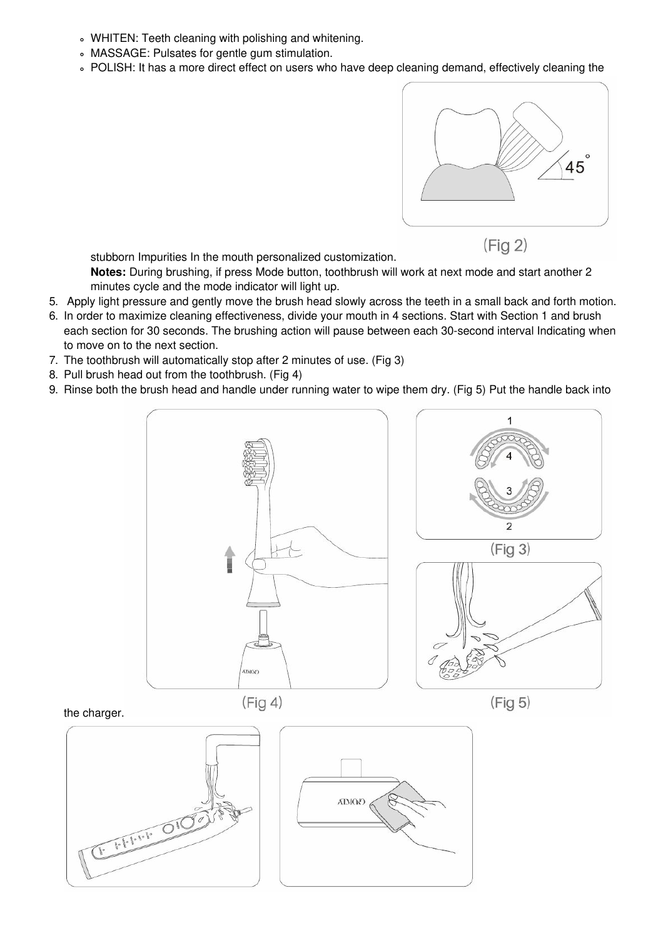- WHITEN: Teeth cleaning with polishing and whitening.
- MASSAGE: Pulsates for gentle gum stimulation.
- o POLISH: It has a more direct effect on users who have deep cleaning demand, effectively cleaning the



 $(Fig 2)$ 

stubborn Impurities In the mouth personalized customization.

**Notes:** During brushing, if press Mode button, toothbrush will work at next mode and start another 2 minutes cycle and the mode indicator will light up.

- 5. Apply light pressure and gently move the brush head slowly across the teeth in a small back and forth motion.
- 6. In order to maximize cleaning effectiveness, divide your mouth in 4 sections. Start with Section 1 and brush each section for 30 seconds. The brushing action will pause between each 30-second interval Indicating when to move on to the next section.
- 7. The toothbrush will automatically stop after 2 minutes of use. (Fig 3)
- 8. Pull brush head out from the toothbrush. (Fig 4)
- 9. Rinse both the brush head and handle under running water to wipe them dry. (Fig 5) Put the handle back into



#### the charger.



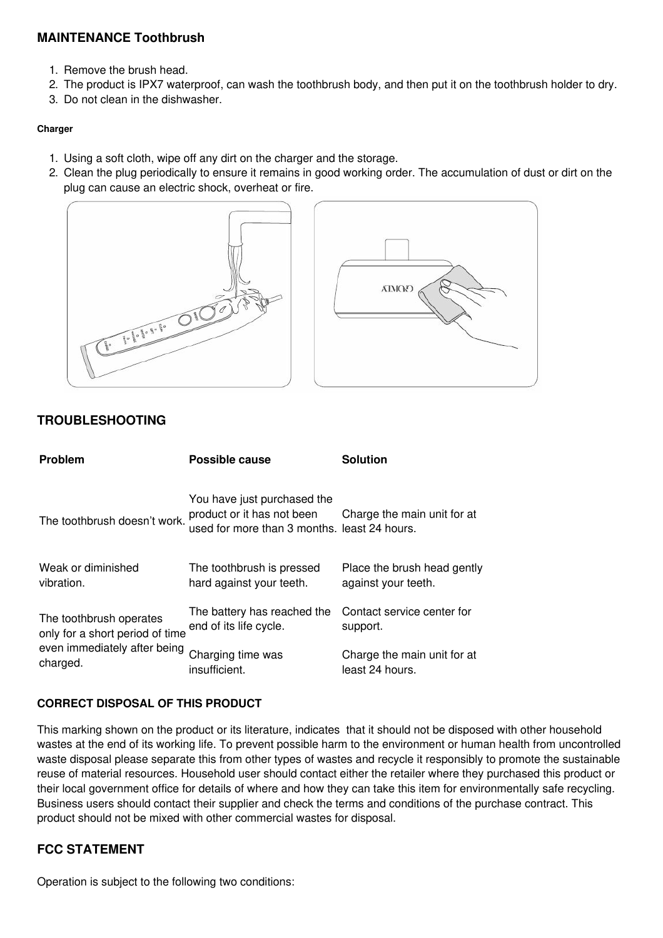# <span id="page-5-0"></span>**MAINTENANCE Toothbrush**

- 1. Remove the brush head.
- 2. The product is IPX7 waterproof, can wash the toothbrush body, and then put it on the toothbrush holder to dry.
- 3. Do not clean in the dishwasher.

#### <span id="page-5-1"></span>**Charger**

- 1. Using a soft cloth, wipe off any dirt on the charger and the storage.
- 2. Clean the plug periodically to ensure it remains in good working order. The accumulation of dust or dirt on the plug can cause an electric shock, overheat or fire.



# <span id="page-5-2"></span>**TROUBLESHOOTING**

| <b>Problem</b>                                                                                         | Possible cause                                                                                            | <b>Solution</b>                                    |
|--------------------------------------------------------------------------------------------------------|-----------------------------------------------------------------------------------------------------------|----------------------------------------------------|
| The toothbrush doesn't work.                                                                           | You have just purchased the<br>product or it has not been<br>used for more than 3 months. least 24 hours. | Charge the main unit for at                        |
| Weak or diminished<br>vibration.                                                                       | The toothbrush is pressed<br>hard against your teeth.                                                     | Place the brush head gently<br>against your teeth. |
| The toothbrush operates<br>only for a short period of time<br>even immediately after being<br>charged. | The battery has reached the<br>end of its life cycle.                                                     | Contact service center for<br>support.             |
|                                                                                                        | Charging time was<br>insufficient.                                                                        | Charge the main unit for at<br>least 24 hours.     |

# **CORRECT DISPOSAL OF THIS PRODUCT**

This marking shown on the product or its literature, indicates that it should not be disposed with other household wastes at the end of its working life. To prevent possible harm to the environment or human health from uncontrolled waste disposal please separate this from other types of wastes and recycle it responsibly to promote the sustainable reuse of material resources. Household user should contact either the retailer where they purchased this product or their local government office for details of where and how they can take this item for environmentally safe recycling. Business users should contact their supplier and check the terms and conditions of the purchase contract. This product should not be mixed with other commercial wastes for disposal.

# <span id="page-5-3"></span>**FCC STATEMENT**

Operation is subject to the following two conditions: